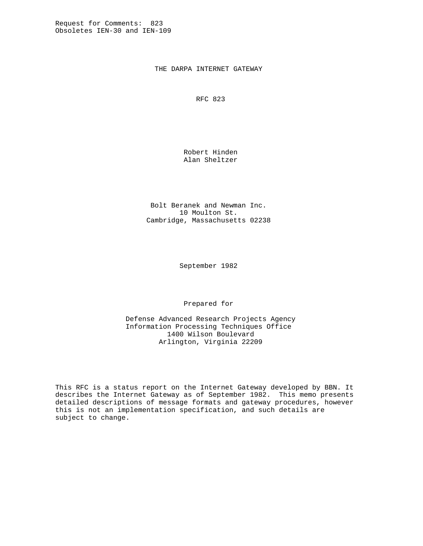THE DARPA INTERNET GATEWAY

RFC 823

 Robert Hinden Alan Sheltzer

 Bolt Beranek and Newman Inc. 10 Moulton St. Cambridge, Massachusetts 02238

September 1982

Prepared for

 Defense Advanced Research Projects Agency Information Processing Techniques Office 1400 Wilson Boulevard Arlington, Virginia 22209

This RFC is a status report on the Internet Gateway developed by BBN. It describes the Internet Gateway as of September 1982. This memo presents detailed descriptions of message formats and gateway procedures, however this is not an implementation specification, and such details are subject to change.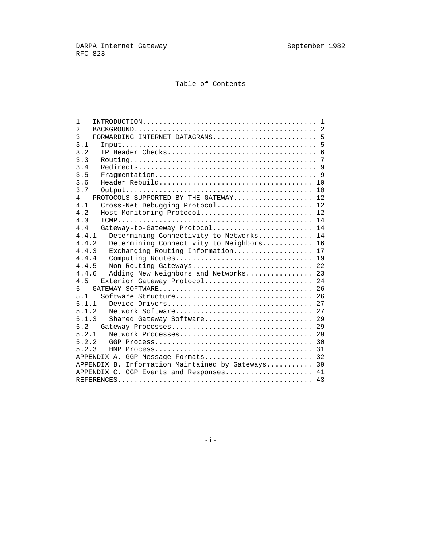# Table of Contents

| 1              |                                                   |
|----------------|---------------------------------------------------|
| $\overline{2}$ |                                                   |
| 3              |                                                   |
| 3.1            | 5                                                 |
| 3.2            | 6                                                 |
| 3.3            | 7                                                 |
| 3.4            |                                                   |
| 3.5            |                                                   |
| 3.6            | 10                                                |
| 3.7            | 10                                                |
| 4              | PROTOCOLS SUPPORTED BY THE GATEWAY<br>12          |
| 4.1            | 12<br>Cross-Net Debugging Protocol                |
| 4.2            | 12<br>Host Monitoring Protocol                    |
| 4.3            | 14                                                |
| 4.4            | Gateway-to-Gateway Protocol<br>14                 |
| 4.4.1          | Determining Connectivity to Networks<br>14        |
| 4.4.2          | Determining Connectivity to Neighbors<br>16       |
| 4.4.3          | Exchanging Routing Information<br>17              |
| 4.4.4          | Computing Routes<br>19                            |
| 4.4.5          | 22<br>Non-Routing Gateways                        |
| 4.4.6          | Adding New Neighbors and Networks<br>23           |
| 4.5            | Exterior Gateway Protocol 24                      |
| 5              |                                                   |
| 5.1            | Software Structure 26                             |
| 5.1.1          |                                                   |
| 5.1.2          | Network Software 27                               |
| 5.1.3          | Shared Gateway Software 29                        |
| 5.2            | 29                                                |
| 5.2.1          | 29                                                |
| 5.2.2          | 30                                                |
| 5.2.3          | 31                                                |
|                | 32<br>APPENDIX A. GGP Message Formats             |
|                | APPENDIX B. Information Maintained by Gateways 39 |
|                | APPENDIX C. GGP Events and Responses<br>41        |
|                |                                                   |
|                |                                                   |

 $-$ i $-$ i $-$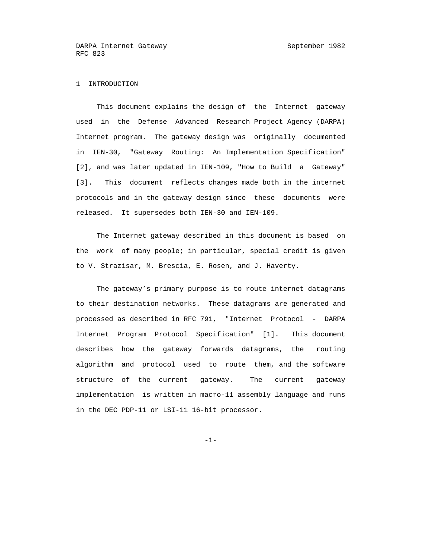# 1 INTRODUCTION

 This document explains the design of the Internet gateway used in the Defense Advanced Research Project Agency (DARPA) Internet program. The gateway design was originally documented in IEN-30, "Gateway Routing: An Implementation Specification" [2], and was later updated in IEN-109, "How to Build a Gateway" [3]. This document reflects changes made both in the internet protocols and in the gateway design since these documents were released. It supersedes both IEN-30 and IEN-109.

 The Internet gateway described in this document is based on the work of many people; in particular, special credit is given to V. Strazisar, M. Brescia, E. Rosen, and J. Haverty.

 The gateway's primary purpose is to route internet datagrams to their destination networks. These datagrams are generated and processed as described in RFC 791, "Internet Protocol - DARPA Internet Program Protocol Specification" [1]. This document describes how the gateway forwards datagrams, the routing algorithm and protocol used to route them, and the software structure of the current gateway. The current gateway implementation is written in macro-11 assembly language and runs in the DEC PDP-11 or LSI-11 16-bit processor.

 $-1-$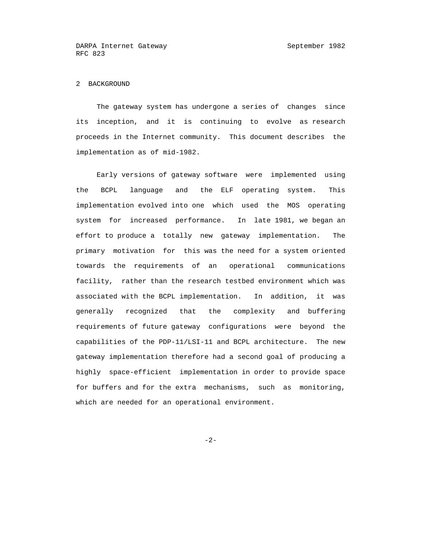# 2 BACKGROUND

 The gateway system has undergone a series of changes since its inception, and it is continuing to evolve as research proceeds in the Internet community. This document describes the implementation as of mid-1982.

 Early versions of gateway software were implemented using the BCPL language and the ELF operating system. This implementation evolved into one which used the MOS operating system for increased performance. In late 1981, we began an effort to produce a totally new gateway implementation. The primary motivation for this was the need for a system oriented towards the requirements of an operational communications facility, rather than the research testbed environment which was associated with the BCPL implementation. In addition, it was generally recognized that the complexity and buffering requirements of future gateway configurations were beyond the capabilities of the PDP-11/LSI-11 and BCPL architecture. The new gateway implementation therefore had a second goal of producing a highly space-efficient implementation in order to provide space for buffers and for the extra mechanisms, such as monitoring, which are needed for an operational environment.

-2-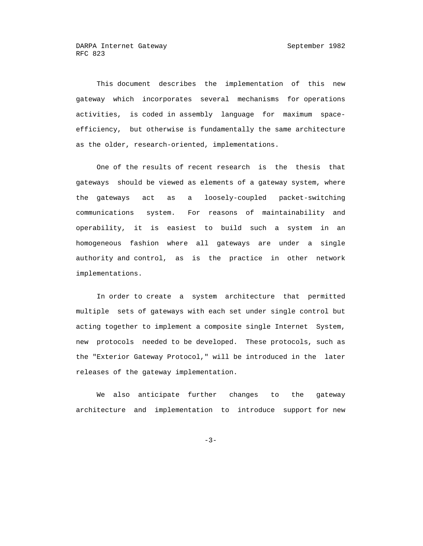This document describes the implementation of this new gateway which incorporates several mechanisms for operations activities, is coded in assembly language for maximum space efficiency, but otherwise is fundamentally the same architecture as the older, research-oriented, implementations.

 One of the results of recent research is the thesis that gateways should be viewed as elements of a gateway system, where the gateways act as a loosely-coupled packet-switching communications system. For reasons of maintainability and operability, it is easiest to build such a system in an homogeneous fashion where all gateways are under a single authority and control, as is the practice in other network implementations.

 In order to create a system architecture that permitted multiple sets of gateways with each set under single control but acting together to implement a composite single Internet System, new protocols needed to be developed. These protocols, such as the "Exterior Gateway Protocol," will be introduced in the later releases of the gateway implementation.

 We also anticipate further changes to the gateway architecture and implementation to introduce support for new

-3-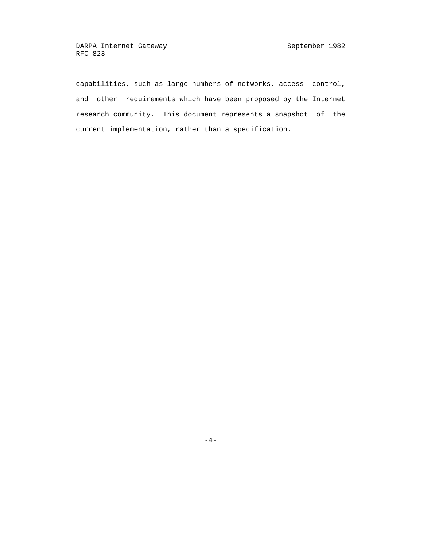capabilities, such as large numbers of networks, access control, and other requirements which have been proposed by the Internet research community. This document represents a snapshot of the current implementation, rather than a specification.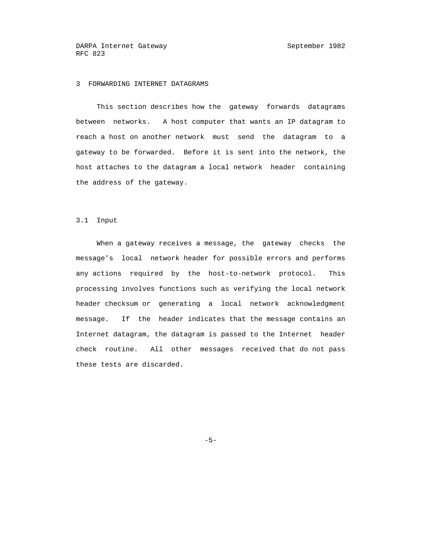# 3 FORWARDING INTERNET DATAGRAMS

 This section describes how the gateway forwards datagrams between networks. A host computer that wants an IP datagram to reach a host on another network must send the datagram to a gateway to be forwarded. Before it is sent into the network, the host attaches to the datagram a local network header containing the address of the gateway.

#### 3.1 Input

 When a gateway receives a message, the gateway checks the message's local network header for possible errors and performs any actions required by the host-to-network protocol. This processing involves functions such as verifying the local network header checksum or generating a local network acknowledgment message. If the header indicates that the message contains an Internet datagram, the datagram is passed to the Internet header check routine. All other messages received that do not pass these tests are discarded.

 $-5$ -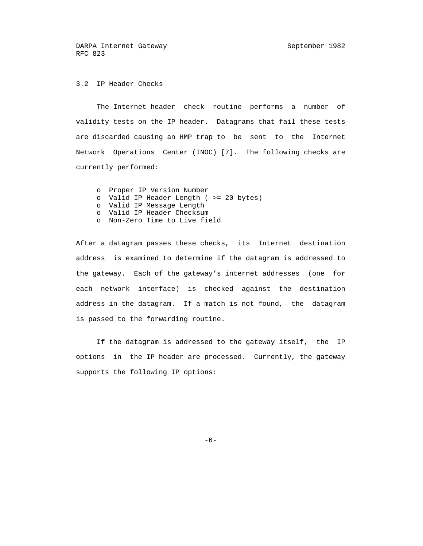# 3.2 IP Header Checks

 The Internet header check routine performs a number of validity tests on the IP header. Datagrams that fail these tests are discarded causing an HMP trap to be sent to the Internet Network Operations Center (INOC) [7]. The following checks are currently performed:

 o Proper IP Version Number o Valid IP Header Length ( >= 20 bytes) o Valid IP Message Length o Valid IP Header Checksum o Non-Zero Time to Live field

 After a datagram passes these checks, its Internet destination address is examined to determine if the datagram is addressed to the gateway. Each of the gateway's internet addresses (one for each network interface) is checked against the destination address in the datagram. If a match is not found, the datagram is passed to the forwarding routine.

 If the datagram is addressed to the gateway itself, the IP options in the IP header are processed. Currently, the gateway supports the following IP options:

 $-6-$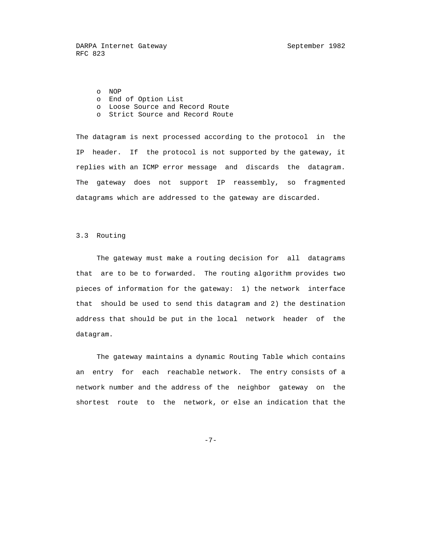o NOP o End of Option List

- o Loose Source and Record Route
- o Strict Source and Record Route

 The datagram is next processed according to the protocol in the IP header. If the protocol is not supported by the gateway, it replies with an ICMP error message and discards the datagram. The gateway does not support IP reassembly, so fragmented datagrams which are addressed to the gateway are discarded.

## 3.3 Routing

 The gateway must make a routing decision for all datagrams that are to be to forwarded. The routing algorithm provides two pieces of information for the gateway: 1) the network interface that should be used to send this datagram and 2) the destination address that should be put in the local network header of the datagram.

 The gateway maintains a dynamic Routing Table which contains an entry for each reachable network. The entry consists of a network number and the address of the neighbor gateway on the shortest route to the network, or else an indication that the

-7-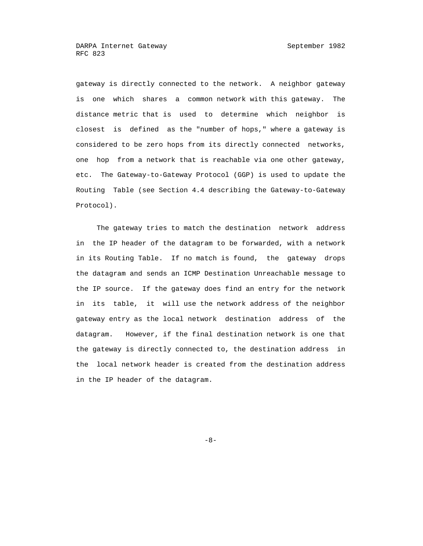gateway is directly connected to the network. A neighbor gateway is one which shares a common network with this gateway. The distance metric that is used to determine which neighbor is closest is defined as the "number of hops," where a gateway is considered to be zero hops from its directly connected networks, one hop from a network that is reachable via one other gateway, etc. The Gateway-to-Gateway Protocol (GGP) is used to update the Routing Table (see Section 4.4 describing the Gateway-to-Gateway Protocol).

 The gateway tries to match the destination network address in the IP header of the datagram to be forwarded, with a network in its Routing Table. If no match is found, the gateway drops the datagram and sends an ICMP Destination Unreachable message to the IP source. If the gateway does find an entry for the network in its table, it will use the network address of the neighbor gateway entry as the local network destination address of the datagram. However, if the final destination network is one that the gateway is directly connected to, the destination address in the local network header is created from the destination address in the IP header of the datagram.

 $-8-$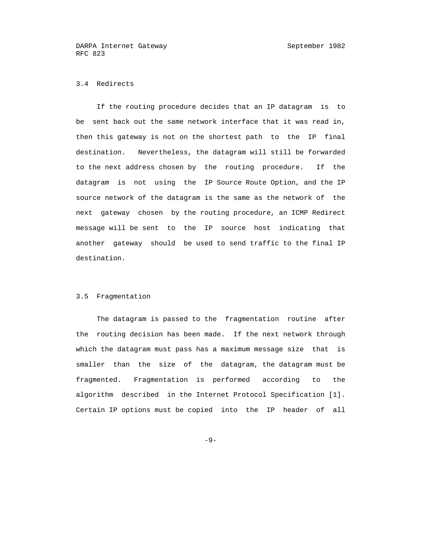# 3.4 Redirects

 If the routing procedure decides that an IP datagram is to be sent back out the same network interface that it was read in, then this gateway is not on the shortest path to the IP final destination. Nevertheless, the datagram will still be forwarded to the next address chosen by the routing procedure. If the datagram is not using the IP Source Route Option, and the IP source network of the datagram is the same as the network of the next gateway chosen by the routing procedure, an ICMP Redirect message will be sent to the IP source host indicating that another gateway should be used to send traffic to the final IP destination.

#### 3.5 Fragmentation

 The datagram is passed to the fragmentation routine after the routing decision has been made. If the next network through which the datagram must pass has a maximum message size that is smaller than the size of the datagram, the datagram must be fragmented. Fragmentation is performed according to the algorithm described in the Internet Protocol Specification [1]. Certain IP options must be copied into the IP header of all

-9-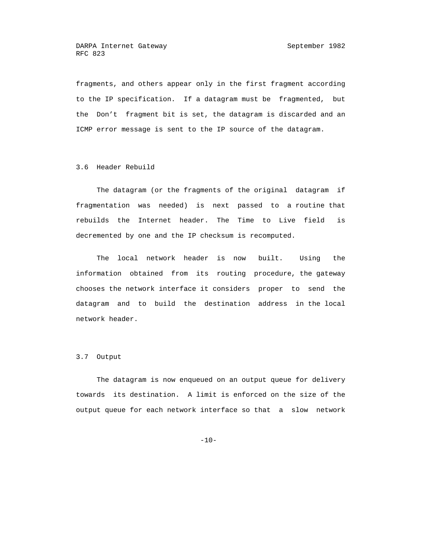fragments, and others appear only in the first fragment according to the IP specification. If a datagram must be fragmented, but the Don't fragment bit is set, the datagram is discarded and an ICMP error message is sent to the IP source of the datagram.

3.6 Header Rebuild

 The datagram (or the fragments of the original datagram if fragmentation was needed) is next passed to a routine that rebuilds the Internet header. The Time to Live field is decremented by one and the IP checksum is recomputed.

 The local network header is now built. Using the information obtained from its routing procedure, the gateway chooses the network interface it considers proper to send the datagram and to build the destination address in the local network header.

#### 3.7 Output

 The datagram is now enqueued on an output queue for delivery towards its destination. A limit is enforced on the size of the output queue for each network interface so that a slow network

-10-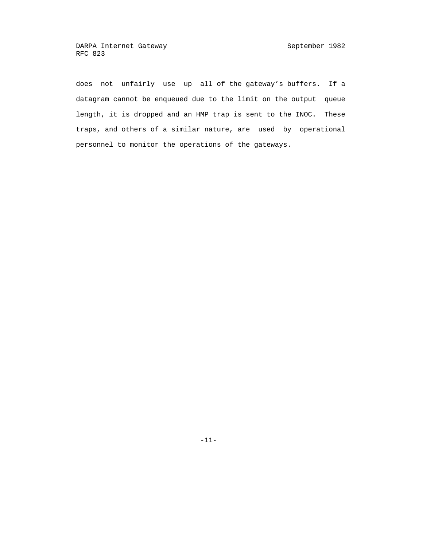does not unfairly use up all of the gateway's buffers. If a datagram cannot be enqueued due to the limit on the output queue length, it is dropped and an HMP trap is sent to the INOC. These traps, and others of a similar nature, are used by operational personnel to monitor the operations of the gateways.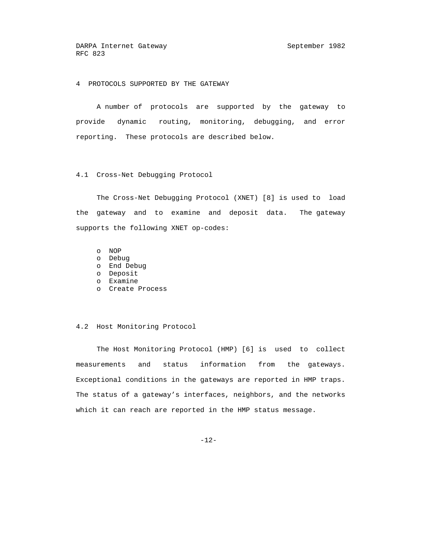4 PROTOCOLS SUPPORTED BY THE GATEWAY

 A number of protocols are supported by the gateway to provide dynamic routing, monitoring, debugging, and error reporting. These protocols are described below.

4.1 Cross-Net Debugging Protocol

 The Cross-Net Debugging Protocol (XNET) [8] is used to load the gateway and to examine and deposit data. The gateway supports the following XNET op-codes:

o NOP

- o Debug
- o End Debug
- o Deposit
	- o Examine
	- o Create Process

#### 4.2 Host Monitoring Protocol

 The Host Monitoring Protocol (HMP) [6] is used to collect measurements and status information from the gateways. Exceptional conditions in the gateways are reported in HMP traps. The status of a gateway's interfaces, neighbors, and the networks which it can reach are reported in the HMP status message.

-12-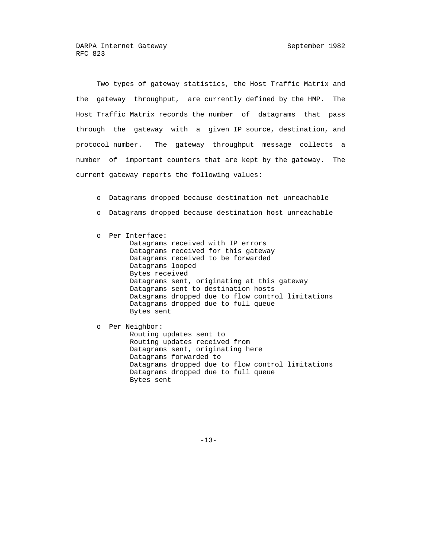Two types of gateway statistics, the Host Traffic Matrix and the gateway throughput, are currently defined by the HMP. The Host Traffic Matrix records the number of datagrams that pass through the gateway with a given IP source, destination, and protocol number. The gateway throughput message collects a number of important counters that are kept by the gateway. The current gateway reports the following values:

- o Datagrams dropped because destination net unreachable
- o Datagrams dropped because destination host unreachable
- o Per Interface: Datagrams received with IP errors Datagrams received for this gateway Datagrams received to be forwarded Datagrams looped Bytes received Datagrams sent, originating at this gateway Datagrams sent to destination hosts Datagrams dropped due to flow control limitations Datagrams dropped due to full queue Bytes sent

 o Per Neighbor: Routing updates sent to Routing updates received from Datagrams sent, originating here Datagrams forwarded to Datagrams dropped due to flow control limitations Datagrams dropped due to full queue Bytes sent

-13-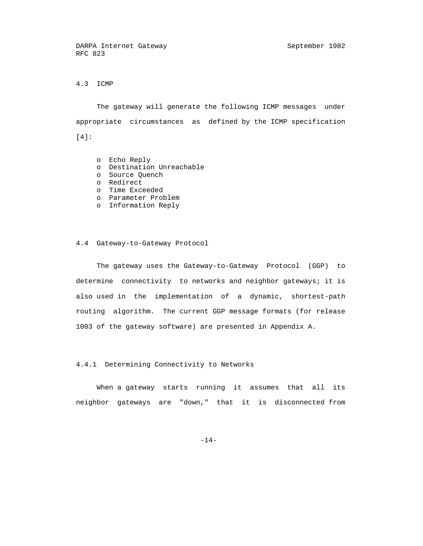# 4.3 ICMP

 The gateway will generate the following ICMP messages under appropriate circumstances as defined by the ICMP specification [4]:

o Echo Reply

- o Destination Unreachable
- o Source Quench
- o Redirect
	- o Time Exceeded
	- o Parameter Problem
	- o Information Reply

#### 4.4 Gateway-to-Gateway Protocol

 The gateway uses the Gateway-to-Gateway Protocol (GGP) to determine connectivity to networks and neighbor gateways; it is also used in the implementation of a dynamic, shortest-path routing algorithm. The current GGP message formats (for release 1003 of the gateway software) are presented in Appendix A.

4.4.1 Determining Connectivity to Networks

 When a gateway starts running it assumes that all its neighbor gateways are "down," that it is disconnected from

-14-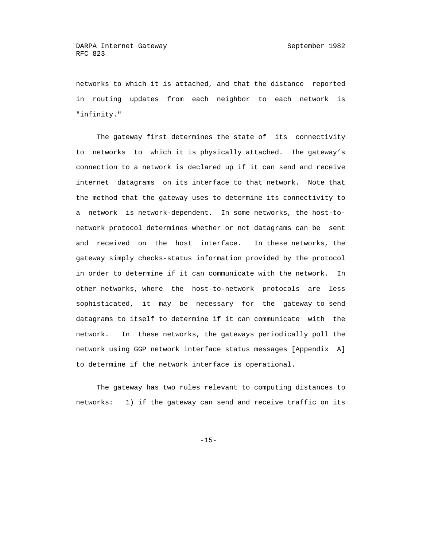networks to which it is attached, and that the distance reported in routing updates from each neighbor to each network is "infinity."

 The gateway first determines the state of its connectivity to networks to which it is physically attached. The gateway's connection to a network is declared up if it can send and receive internet datagrams on its interface to that network. Note that the method that the gateway uses to determine its connectivity to a network is network-dependent. In some networks, the host-to network protocol determines whether or not datagrams can be sent and received on the host interface. In these networks, the gateway simply checks-status information provided by the protocol in order to determine if it can communicate with the network. In other networks, where the host-to-network protocols are less sophisticated, it may be necessary for the gateway to send datagrams to itself to determine if it can communicate with the network. In these networks, the gateways periodically poll the network using GGP network interface status messages [Appendix A] to determine if the network interface is operational.

 The gateway has two rules relevant to computing distances to networks: 1) if the gateway can send and receive traffic on its

-15-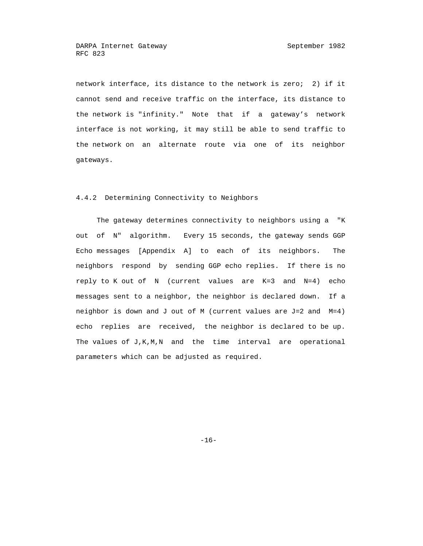network interface, its distance to the network is zero; 2) if it cannot send and receive traffic on the interface, its distance to the network is "infinity." Note that if a gateway's network interface is not working, it may still be able to send traffic to the network on an alternate route via one of its neighbor gateways.

#### 4.4.2 Determining Connectivity to Neighbors

 The gateway determines connectivity to neighbors using a "K out of N" algorithm. Every 15 seconds, the gateway sends GGP Echo messages [Appendix A] to each of its neighbors. The neighbors respond by sending GGP echo replies. If there is no reply to K out of N (current values are K=3 and N=4) echo messages sent to a neighbor, the neighbor is declared down. If a neighbor is down and J out of M (current values are J=2 and M=4) echo replies are received, the neighbor is declared to be up. The values of J,K,M,N and the time interval are operational parameters which can be adjusted as required.

-16-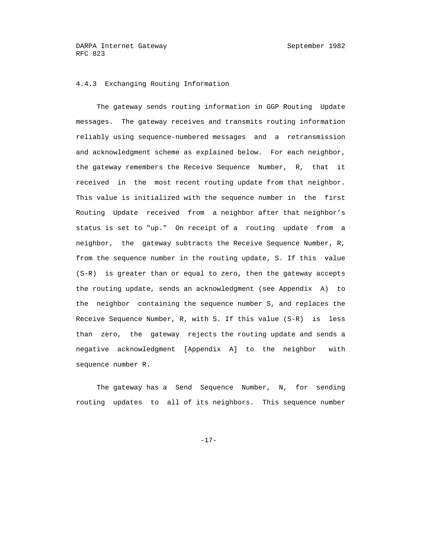# 4.4.3 Exchanging Routing Information

 The gateway sends routing information in GGP Routing Update messages. The gateway receives and transmits routing information reliably using sequence-numbered messages and a retransmission and acknowledgment scheme as explained below. For each neighbor, the gateway remembers the Receive Sequence Number, R, that it received in the most recent routing update from that neighbor. This value is initialized with the sequence number in the first Routing Update received from a neighbor after that neighbor's status is set to "up." On receipt of a routing update from a neighbor, the gateway subtracts the Receive Sequence Number, R, from the sequence number in the routing update, S. If this value (S-R) is greater than or equal to zero, then the gateway accepts the routing update, sends an acknowledgment (see Appendix A) to the neighbor containing the sequence number S, and replaces the Receive Sequence Number, R, with S. If this value (S-R) is less than zero, the gateway rejects the routing update and sends a negative acknowledgment [Appendix A] to the neighbor with sequence number R.

 The gateway has a Send Sequence Number, N, for sending routing updates to all of its neighbors. This sequence number

-17-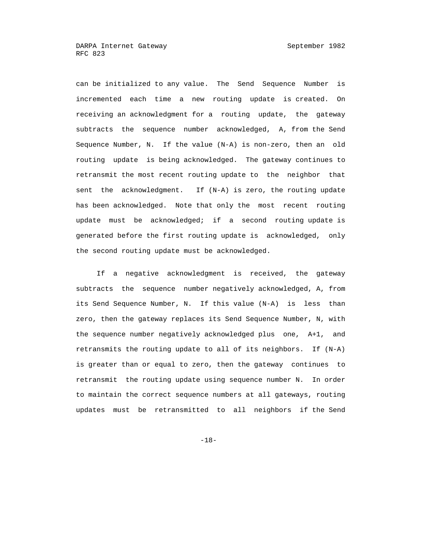can be initialized to any value. The Send Sequence Number is incremented each time a new routing update is created. On receiving an acknowledgment for a routing update, the gateway subtracts the sequence number acknowledged, A, from the Send Sequence Number, N. If the value (N-A) is non-zero, then an old routing update is being acknowledged. The gateway continues to retransmit the most recent routing update to the neighbor that sent the acknowledgment. If (N-A) is zero, the routing update has been acknowledged. Note that only the most recent routing update must be acknowledged; if a second routing update is generated before the first routing update is acknowledged, only the second routing update must be acknowledged.

 If a negative acknowledgment is received, the gateway subtracts the sequence number negatively acknowledged, A, from its Send Sequence Number, N. If this value (N-A) is less than zero, then the gateway replaces its Send Sequence Number, N, with the sequence number negatively acknowledged plus one, A+1, and retransmits the routing update to all of its neighbors. If (N-A) is greater than or equal to zero, then the gateway continues to retransmit the routing update using sequence number N. In order to maintain the correct sequence numbers at all gateways, routing updates must be retransmitted to all neighbors if the Send

-18-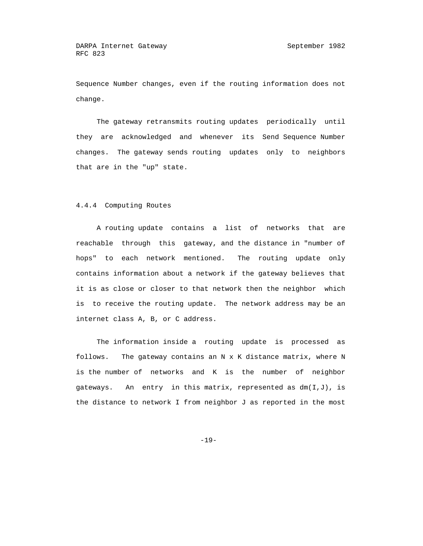Sequence Number changes, even if the routing information does not change.

 The gateway retransmits routing updates periodically until they are acknowledged and whenever its Send Sequence Number changes. The gateway sends routing updates only to neighbors that are in the "up" state.

#### 4.4.4 Computing Routes

 A routing update contains a list of networks that are reachable through this gateway, and the distance in "number of hops" to each network mentioned. The routing update only contains information about a network if the gateway believes that it is as close or closer to that network then the neighbor which is to receive the routing update. The network address may be an internet class A, B, or C address.

 The information inside a routing update is processed as follows. The gateway contains an N x K distance matrix, where N is the number of networks and K is the number of neighbor gateways. An entry in this matrix, represented as dm(I,J), is the distance to network I from neighbor J as reported in the most

-19-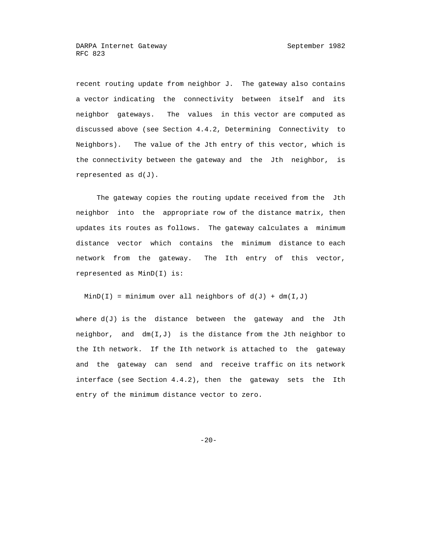recent routing update from neighbor J. The gateway also contains a vector indicating the connectivity between itself and its neighbor gateways. The values in this vector are computed as discussed above (see Section 4.4.2, Determining Connectivity to Neighbors). The value of the Jth entry of this vector, which is the connectivity between the gateway and the Jth neighbor, is represented as d(J).

 The gateway copies the routing update received from the Jth neighbor into the appropriate row of the distance matrix, then updates its routes as follows. The gateway calculates a minimum distance vector which contains the minimum distance to each network from the gateway. The Ith entry of this vector, represented as MinD(I) is:

 $MinD(I) = minimum over all neighbors of d(J) + dm(I,J)$ 

where  $d(J)$  is the distance between the gateway and the Jth neighbor, and  $dm(I,J)$  is the distance from the Jth neighbor to the Ith network. If the Ith network is attached to the gateway and the gateway can send and receive traffic on its network interface (see Section 4.4.2), then the gateway sets the Ith entry of the minimum distance vector to zero.

-20-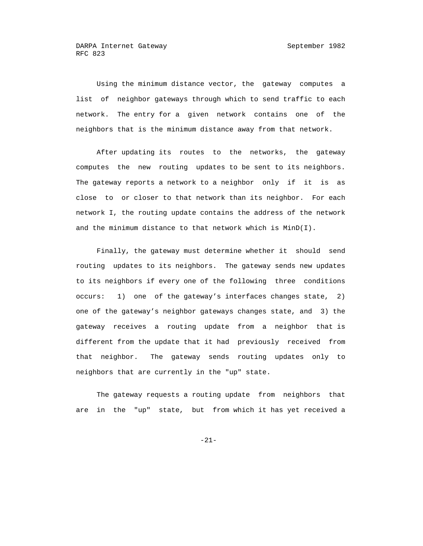Using the minimum distance vector, the gateway computes a list of neighbor gateways through which to send traffic to each network. The entry for a given network contains one of the neighbors that is the minimum distance away from that network.

 After updating its routes to the networks, the gateway computes the new routing updates to be sent to its neighbors. The gateway reports a network to a neighbor only if it is as close to or closer to that network than its neighbor. For each network I, the routing update contains the address of the network and the minimum distance to that network which is MinD(I).

 Finally, the gateway must determine whether it should send routing updates to its neighbors. The gateway sends new updates to its neighbors if every one of the following three conditions occurs: 1) one of the gateway's interfaces changes state, 2) one of the gateway's neighbor gateways changes state, and 3) the gateway receives a routing update from a neighbor that is different from the update that it had previously received from that neighbor. The gateway sends routing updates only to neighbors that are currently in the "up" state.

 The gateway requests a routing update from neighbors that are in the "up" state, but from which it has yet received a

-21-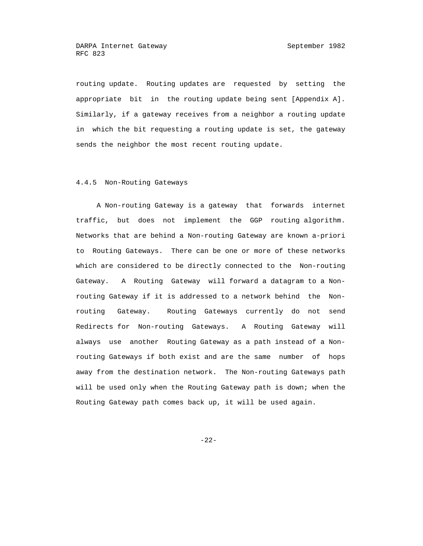routing update. Routing updates are requested by setting the appropriate bit in the routing update being sent [Appendix A]. Similarly, if a gateway receives from a neighbor a routing update in which the bit requesting a routing update is set, the gateway sends the neighbor the most recent routing update.

#### 4.4.5 Non-Routing Gateways

 A Non-routing Gateway is a gateway that forwards internet traffic, but does not implement the GGP routing algorithm. Networks that are behind a Non-routing Gateway are known a-priori to Routing Gateways. There can be one or more of these networks which are considered to be directly connected to the Non-routing Gateway. A Routing Gateway will forward a datagram to a Non routing Gateway if it is addressed to a network behind the Non routing Gateway. Routing Gateways currently do not send Redirects for Non-routing Gateways. A Routing Gateway will always use another Routing Gateway as a path instead of a Non routing Gateways if both exist and are the same number of hops away from the destination network. The Non-routing Gateways path will be used only when the Routing Gateway path is down; when the Routing Gateway path comes back up, it will be used again.

-22-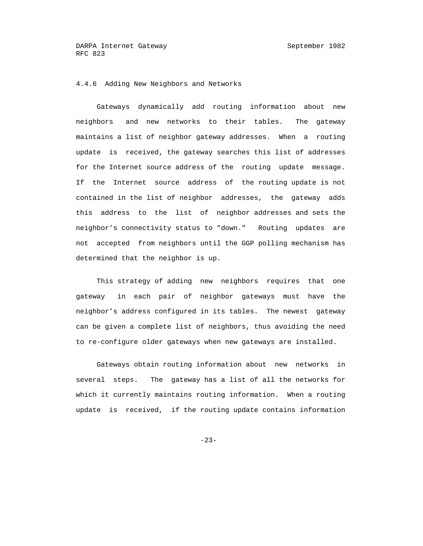## 4.4.6 Adding New Neighbors and Networks

 Gateways dynamically add routing information about new neighbors and new networks to their tables. The gateway maintains a list of neighbor gateway addresses. When a routing update is received, the gateway searches this list of addresses for the Internet source address of the routing update message. If the Internet source address of the routing update is not contained in the list of neighbor addresses, the gateway adds this address to the list of neighbor addresses and sets the neighbor's connectivity status to "down." Routing updates are not accepted from neighbors until the GGP polling mechanism has determined that the neighbor is up.

 This strategy of adding new neighbors requires that one gateway in each pair of neighbor gateways must have the neighbor's address configured in its tables. The newest gateway can be given a complete list of neighbors, thus avoiding the need to re-configure older gateways when new gateways are installed.

 Gateways obtain routing information about new networks in several steps. The gateway has a list of all the networks for which it currently maintains routing information. When a routing update is received, if the routing update contains information

-23-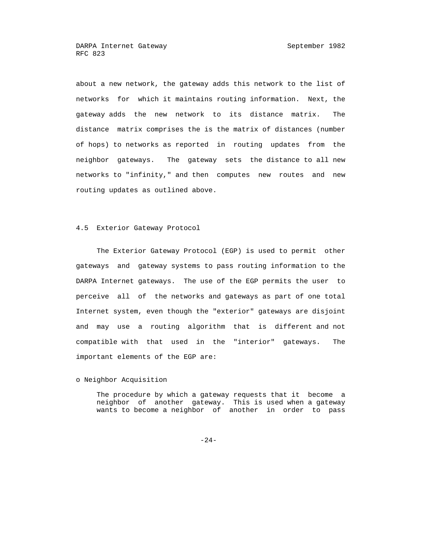about a new network, the gateway adds this network to the list of networks for which it maintains routing information. Next, the gateway adds the new network to its distance matrix. The distance matrix comprises the is the matrix of distances (number of hops) to networks as reported in routing updates from the neighbor gateways. The gateway sets the distance to all new networks to "infinity," and then computes new routes and new routing updates as outlined above.

#### 4.5 Exterior Gateway Protocol

 The Exterior Gateway Protocol (EGP) is used to permit other gateways and gateway systems to pass routing information to the DARPA Internet gateways. The use of the EGP permits the user to perceive all of the networks and gateways as part of one total Internet system, even though the "exterior" gateways are disjoint and may use a routing algorithm that is different and not compatible with that used in the "interior" gateways. The important elements of the EGP are:

o Neighbor Acquisition

 The procedure by which a gateway requests that it become a neighbor of another gateway. This is used when a gateway wants to become a neighbor of another in order to pass

-24-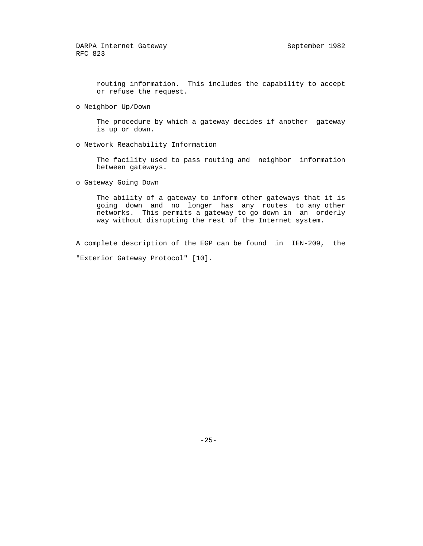routing information. This includes the capability to accept or refuse the request.

o Neighbor Up/Down

 The procedure by which a gateway decides if another gateway is up or down.

o Network Reachability Information

 The facility used to pass routing and neighbor information between gateways.

o Gateway Going Down

 The ability of a gateway to inform other gateways that it is going down and no longer has any routes to any other networks. This permits a gateway to go down in an orderly way without disrupting the rest of the Internet system.

 A complete description of the EGP can be found in IEN-209, the "Exterior Gateway Protocol" [10].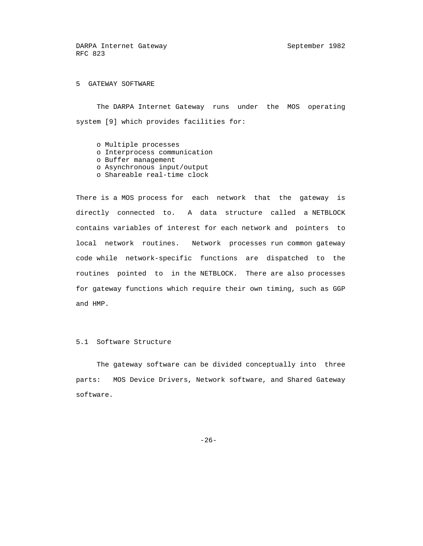5 GATEWAY SOFTWARE

 The DARPA Internet Gateway runs under the MOS operating system [9] which provides facilities for:

- o Multiple processes
- o Interprocess communication
- o Buffer management
- o Asynchronous input/output
- o Shareable real-time clock

 There is a MOS process for each network that the gateway is directly connected to. A data structure called a NETBLOCK contains variables of interest for each network and pointers to local network routines. Network processes run common gateway code while network-specific functions are dispatched to the routines pointed to in the NETBLOCK. There are also processes for gateway functions which require their own timing, such as GGP and HMP.

#### 5.1 Software Structure

 The gateway software can be divided conceptually into three parts: MOS Device Drivers, Network software, and Shared Gateway software.

-26-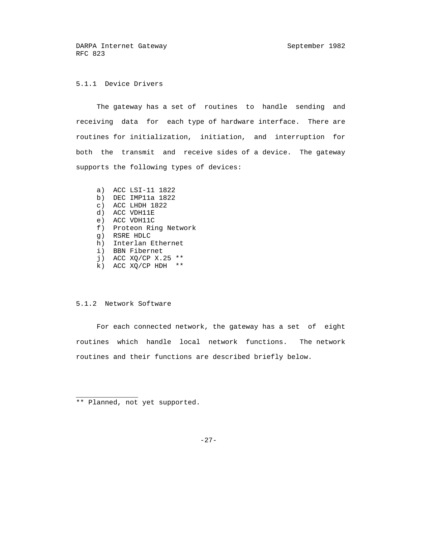# 5.1.1 Device Drivers

 The gateway has a set of routines to handle sending and receiving data for each type of hardware interface. There are routines for initialization, initiation, and interruption for both the transmit and receive sides of a device. The gateway supports the following types of devices:

 a) ACC LSI-11 1822 b) DEC IMP11a 1822 c) ACC LHDH 1822 d) ACC VDH11E e) ACC VDH11C f) Proteon Ring Network g) RSRE HDLC h) Interlan Ethernet i) BBN Fibernet j) ACC XQ/CP X.25 \*\* k) ACC XQ/CP HDH \*\*

# 5.1.2 Network Software

 For each connected network, the gateway has a set of eight routines which handle local network functions. The network routines and their functions are described briefly below.

\*\* Planned, not yet supported.

 $\overline{\phantom{a}}$  ,  $\overline{\phantom{a}}$  ,  $\overline{\phantom{a}}$  ,  $\overline{\phantom{a}}$  ,  $\overline{\phantom{a}}$  ,  $\overline{\phantom{a}}$  ,  $\overline{\phantom{a}}$  ,  $\overline{\phantom{a}}$  ,  $\overline{\phantom{a}}$  ,  $\overline{\phantom{a}}$  ,  $\overline{\phantom{a}}$  ,  $\overline{\phantom{a}}$  ,  $\overline{\phantom{a}}$  ,  $\overline{\phantom{a}}$  ,  $\overline{\phantom{a}}$  ,  $\overline{\phantom{a}}$ 

-27-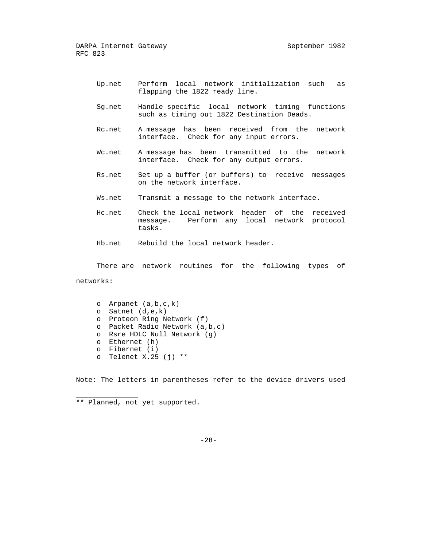- Up.net Perform local network initialization such as flapping the 1822 ready line.
- Sg.net Handle specific local network timing functions such as timing out 1822 Destination Deads.
- Rc.net A message has been received from the network interface. Check for any input errors.
- Wc.net A message has been transmitted to the network interface. Check for any output errors.
- Rs.net Set up a buffer (or buffers) to receive messages on the network interface.
- Ws.net Transmit a message to the network interface.
- Hc.net Check the local network header of the received message. Perform any local network protocol tasks.
- Hb.net Rebuild the local network header.

 There are network routines for the following types of networks:

 o Arpanet (a,b,c,k) o Satnet (d,e,k) o Proteon Ring Network (f) o Packet Radio Network (a,b,c) o Rsre HDLC Null Network (g) o Ethernet (h) o Fibernet (i) o Telenet X.25 (j)  $**$ 

Note: The letters in parentheses refer to the device drivers used

 $\overline{\phantom{a}}$  ,  $\overline{\phantom{a}}$  ,  $\overline{\phantom{a}}$  ,  $\overline{\phantom{a}}$  ,  $\overline{\phantom{a}}$  ,  $\overline{\phantom{a}}$  ,  $\overline{\phantom{a}}$  ,  $\overline{\phantom{a}}$  ,  $\overline{\phantom{a}}$  ,  $\overline{\phantom{a}}$  ,  $\overline{\phantom{a}}$  ,  $\overline{\phantom{a}}$  ,  $\overline{\phantom{a}}$  ,  $\overline{\phantom{a}}$  ,  $\overline{\phantom{a}}$  ,  $\overline{\phantom{a}}$ 

 <sup>\*\*</sup> Planned, not yet supported.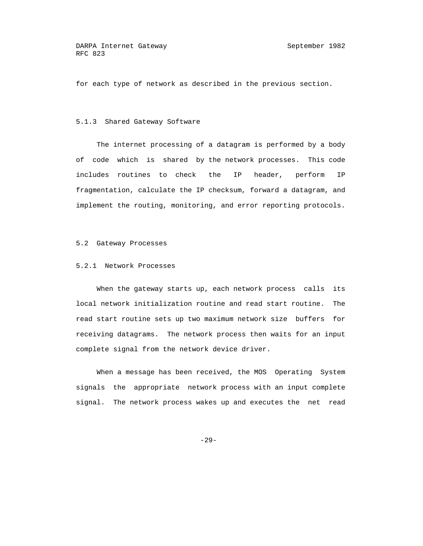for each type of network as described in the previous section.

#### 5.1.3 Shared Gateway Software

 The internet processing of a datagram is performed by a body of code which is shared by the network processes. This code includes routines to check the IP header, perform IP fragmentation, calculate the IP checksum, forward a datagram, and implement the routing, monitoring, and error reporting protocols.

#### 5.2 Gateway Processes

#### 5.2.1 Network Processes

When the gateway starts up, each network process calls its local network initialization routine and read start routine. The read start routine sets up two maximum network size buffers for receiving datagrams. The network process then waits for an input complete signal from the network device driver.

 When a message has been received, the MOS Operating System signals the appropriate network process with an input complete signal. The network process wakes up and executes the net read

-29-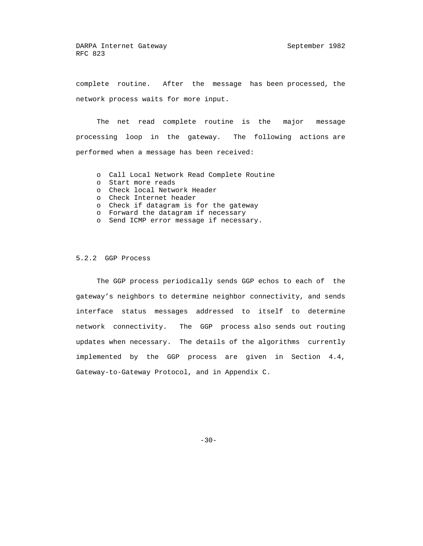complete routine. After the message has been processed, the network process waits for more input.

 The net read complete routine is the major message processing loop in the gateway. The following actions are performed when a message has been received:

- o Call Local Network Read Complete Routine
- o Start more reads
- o Check local Network Header
- o Check Internet header
- o Check if datagram is for the gateway
- o Forward the datagram if necessary
- o Send ICMP error message if necessary.

#### 5.2.2 GGP Process

 The GGP process periodically sends GGP echos to each of the gateway's neighbors to determine neighbor connectivity, and sends interface status messages addressed to itself to determine network connectivity. The GGP process also sends out routing updates when necessary. The details of the algorithms currently implemented by the GGP process are given in Section 4.4, Gateway-to-Gateway Protocol, and in Appendix C.

-30-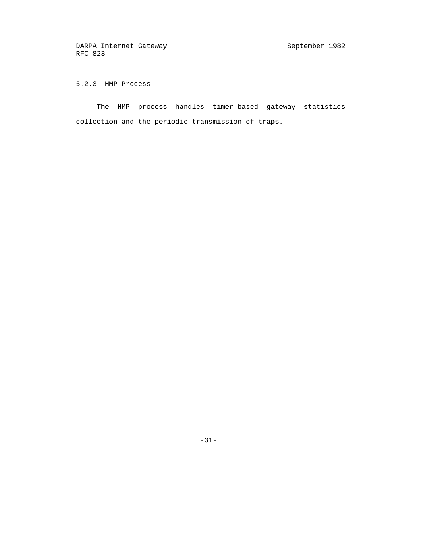5.2.3 HMP Process

 The HMP process handles timer-based gateway statistics collection and the periodic transmission of traps.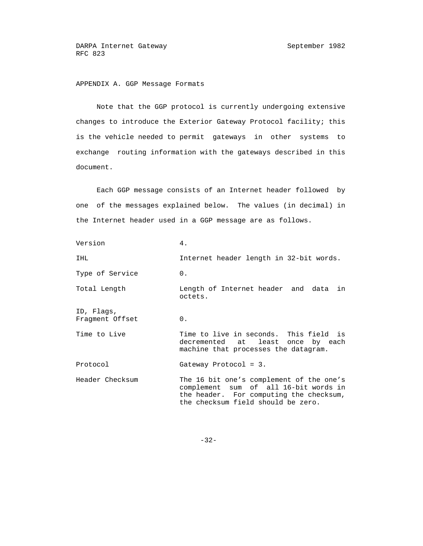# APPENDIX A. GGP Message Formats

 Note that the GGP protocol is currently undergoing extensive changes to introduce the Exterior Gateway Protocol facility; this is the vehicle needed to permit gateways in other systems to exchange routing information with the gateways described in this document.

 Each GGP message consists of an Internet header followed by one of the messages explained below. The values (in decimal) in the Internet header used in a GGP message are as follows.

| Version                       | 4.                                                                                                                                                                 |
|-------------------------------|--------------------------------------------------------------------------------------------------------------------------------------------------------------------|
| IHL                           | Internet header length in 32-bit words.                                                                                                                            |
| Type of Service               | 0.                                                                                                                                                                 |
| Total Length                  | Length of Internet header and data<br>in<br>octets.                                                                                                                |
| ID, Flags,<br>Fragment Offset | 0.                                                                                                                                                                 |
| Time to Live                  | Time to live in seconds. This field is<br>decremented at least once by each<br>machine that processes the datagram.                                                |
| Protocol                      | Gateway Protocol = $3.$                                                                                                                                            |
| Header Checksum               | The 16 bit one's complement of the one's<br>complement sum of all 16-bit words in<br>the header. For computing the checksum,<br>the checksum field should be zero. |

-32-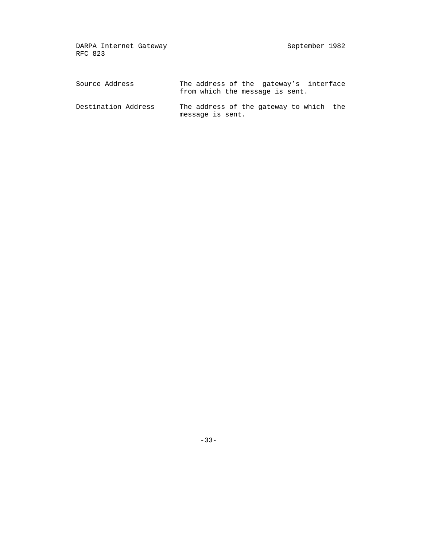| Source Address      | The address of the gateway's interface<br>from which the message is sent. |
|---------------------|---------------------------------------------------------------------------|
| Destination Address | The address of the gateway to which the<br>message is sent.               |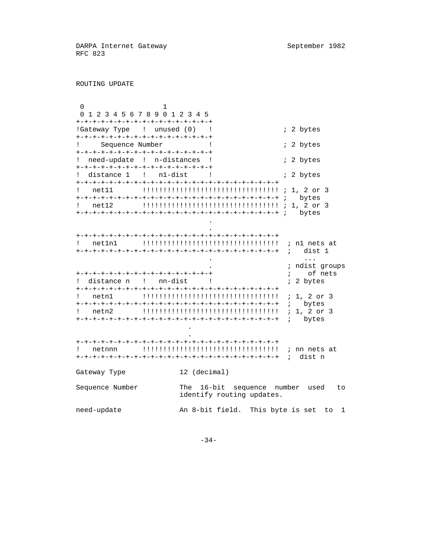ROUTING UPDATE

 0 1 0 1 2 3 4 5 6 7 8 9 0 1 2 3 4 5 +-+-+-+-+-+-+-+-+-+-+-+-+-+-+-+-+ !Gateway Type ! unused (0) ! ; i 2 bytes +-+-+-+-+-+-+-+-+-+-+-+-+-+-+-+-+ ! Sequence Number ! ; 2 bytes +-+-+-+-+-+-+-+-+-+-+-+-+-+-+-+-+ ! need-update ! n-distances !  $\qquad$  : 2 bytes +-+-+-+-+-+-+-+-+-+-+-+-+-+-+-+-+ ! distance 1 ! n1-dist ! : 3 bytes +-+-+-+-+-+-+-+-+-+-+-+-+-+-+-+-+-+-+-+-+-+-+-+-+ ! net11 !!!!!!!!!!!!!!!!!!!!!!!!!!!!!!!!! ; 1, 2 or 3 +-+-+-+-+-+-+-+-+-+-+-+-+-+-+-+-+-+-+-+-+-+-+-+-+ ; bytes ! net12 !!!!!!!!!!!!!!!!!!!!!!!!!!!!!!!!! ; 1, 2 or 3 +-+-+-+-+-+-+-+-+-+-+-+-+-+-+-+-+-+-+-+-+-+-+-+-+ ; bytes **.** The contract of the contract of the contract of the contract of the contract of the contract of the contract of

 . +-+-+-+-+-+-+-+-+-+-+-+-+-+-+-+-+-+-+-+-+-+-+-+-+ ! net1n1 !!!!!!!!!!!!!!!!!!!!!!!!!!!!!!!!! ; n1 nets at +-+-+-+-+-+-+-+-+-+-+-+-+-+-+-+-+-+-+-+-+-+-+-+-+ ; dist 1 . ... . ; ndist groups +-+-+-+-+-+-+-+-+-+-+-+-+-+-+-+-+ ; of nets ! distance n ! nn-dist ! : 2 bytes +-+-+-+-+-+-+-+-+-+-+-+-+-+-+-+-+-+-+-+-+-+-+-+-+ ! netn1 !!!!!!!!!!!!!!!!!!!!!!!!!!!!!!!!! ; 1, 2 or 3 +-+-+-+-+-+-+-+-+-+-+-+-+-+-+-+-+-+-+-+-+-+-+-+-+ ; bytes ! netn2 !!!!!!!!!!!!!!!!!!!!!!!!!!!!!!!!! ; 1, 2 or 3 +-+-+-+-+-+-+-+-+-+-+-+-+-+-+-+-+-+-+-+-+-+-+-+-+ ; bytes **.** The contract of the contract of the contract of the contract of the contract of the contract of the contract of **.** The contract of the contract of the contract of the contract of the contract of the contract of the contract of

 +-+-+-+-+-+-+-+-+-+-+-+-+-+-+-+-+-+-+-+-+-+-+-+-+ ! netnnn !!!!!!!!!!!!!!!!!!!!!!!!!!!!!!!!! ; nn nets at +-+-+-+-+-+-+-+-+-+-+-+-+-+-+-+-+-+-+-+-+-+-+-+-+ ; dist n Gateway Type 12 (decimal) Sequence Number The 16-bit sequence number used to identify routing updates.

need-update An 8-bit field. This byte is set to 1

-34-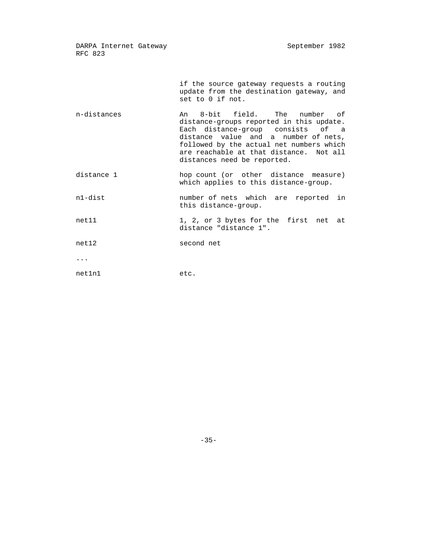> if the source gateway requests a routing update from the destination gateway, and set to 0 if not.

- n-distances An 8-bit field. The number of distance-groups reported in this update. Each distance-group consists of a distance value and a number of nets, followed by the actual net numbers which are reachable at that distance. Not all distances need be reported.
- distance 1 hop count (or other distance measure) which applies to this distance-group.
- n1-dist number of nets which are reported in this distance-group.
- net11 1, 2, or 3 bytes for the first net at distance "distance 1".
- net12 second net

...

net1n1 etc.

 $-35-$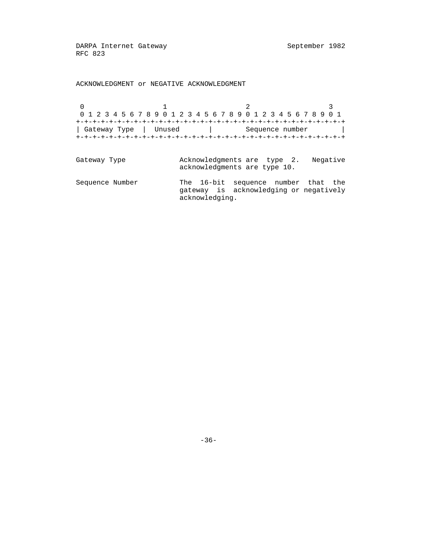ACKNOWLEDGMENT or NEGATIVE ACKNOWLEDGMENT

0  $1$   $2$   $3$  0 1 2 3 4 5 6 7 8 9 0 1 2 3 4 5 6 7 8 9 0 1 2 3 4 5 6 7 8 9 0 1 +-+-+-+-+-+-+-+-+-+-+-+-+-+-+-+-+-+-+-+-+-+-+-+-+-+-+-+-+-+-+-+-+ | Gateway Type | Unused | Sequence number | +-+-+-+-+-+-+-+-+-+-+-+-+-+-+-+-+-+-+-+-+-+-+-+-+-+-+-+-+-+-+-+-+ Gateway Type **Acknowledgments** are type 2. Negative acknowledgments are type 10. Sequence Number The 16-bit sequence number that the gateway is acknowledging or negatively acknowledging.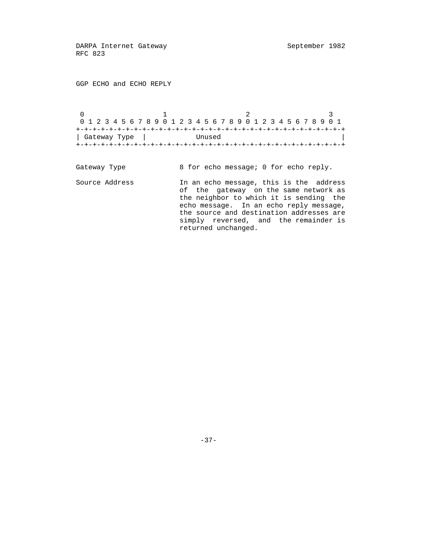GGP ECHO and ECHO REPLY

 $0$  and  $1$  and  $2$  3 0 1 2 3 4 5 6 7 8 9 0 1 2 3 4 5 6 7 8 9 0 1 2 3 4 5 6 7 8 9 0 1 +-+-+-+-+-+-+-+-+-+-+-+-+-+-+-+-+-+-+-+-+-+-+-+-+-+-+-+-+-+-+-+-+ | Gateway Type | Unused | +-+-+-+-+-+-+-+-+-+-+-+-+-+-+-+-+-+-+-+-+-+-+-+-+-+-+-+-+-+-+-+-+

Gateway Type 8 for echo message; 0 for echo reply. Source Address In an echo message, this is the address of the gateway on the same network as the neighbor to which it is sending the echo message. In an echo reply message, the source and destination addresses are simply reversed, and the remainder is returned unchanged.

-37-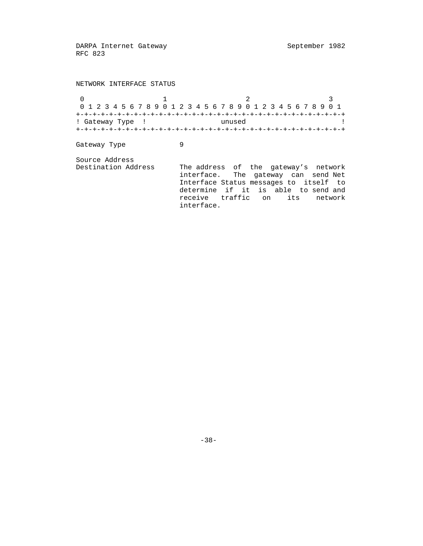NETWORK INTERFACE STATUS  $\begin{array}{ccccccc}\n0 & & & 1 & & & 2 & & 3\n\end{array}$  0 1 2 3 4 5 6 7 8 9 0 1 2 3 4 5 6 7 8 9 0 1 2 3 4 5 6 7 8 9 0 1 +-+-+-+-+-+-+-+-+-+-+-+-+-+-+-+-+-+-+-+-+-+-+-+-+-+-+-+-+-+-+-+-+ ! Gateway Type ! unused ! +-+-+-+-+-+-+-+-+-+-+-+-+-+-+-+-+-+-+-+-+-+-+-+-+-+-+-+-+-+-+-+-+ Gateway Type 9 Source Address Destination Address The address of the gateway's network interface. The gateway can send Net Interface Status messages to itself to determine if it is able to send and receive traffic on its network interface.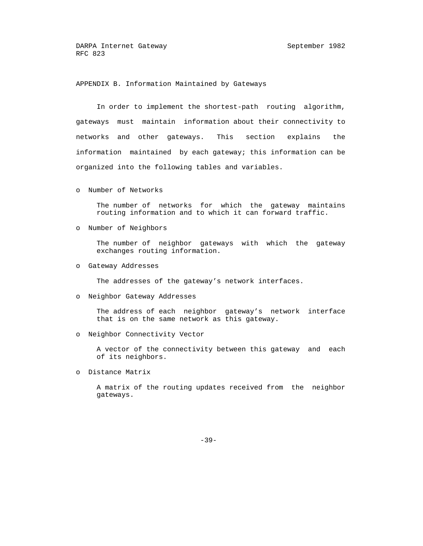APPENDIX B. Information Maintained by Gateways

 In order to implement the shortest-path routing algorithm, gateways must maintain information about their connectivity to networks and other gateways. This section explains the information maintained by each gateway; this information can be organized into the following tables and variables.

o Number of Networks

 The number of networks for which the gateway maintains routing information and to which it can forward traffic.

o Number of Neighbors

 The number of neighbor gateways with which the gateway exchanges routing information.

o Gateway Addresses

The addresses of the gateway's network interfaces.

o Neighbor Gateway Addresses

 The address of each neighbor gateway's network interface that is on the same network as this gateway.

o Neighbor Connectivity Vector

 A vector of the connectivity between this gateway and each of its neighbors.

o Distance Matrix

 A matrix of the routing updates received from the neighbor gateways.

-39-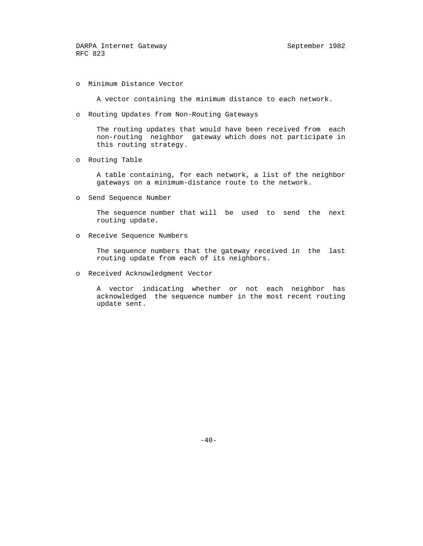o Minimum Distance Vector

A vector containing the minimum distance to each network.

o Routing Updates from Non-Routing Gateways

 The routing updates that would have been received from each non-routing neighbor gateway which does not participate in this routing strategy.

o Routing Table

 A table containing, for each network, a list of the neighbor gateways on a minimum-distance route to the network.

o Send Sequence Number

 The sequence number that will be used to send the next routing update.

o Receive Sequence Numbers

 The sequence numbers that the gateway received in the last routing update from each of its neighbors.

o Received Acknowledgment Vector

 A vector indicating whether or not each neighbor has acknowledged the sequence number in the most recent routing update sent.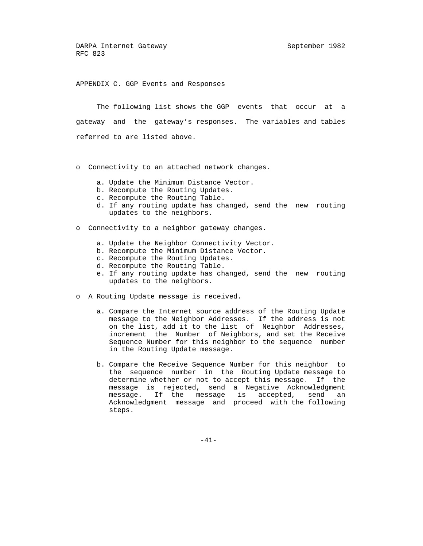APPENDIX C. GGP Events and Responses

 The following list shows the GGP events that occur at a gateway and the gateway's responses. The variables and tables referred to are listed above.

- o Connectivity to an attached network changes.
	- a. Update the Minimum Distance Vector.
	- b. Recompute the Routing Updates.
	- c. Recompute the Routing Table.
	- d. If any routing update has changed, send the new routing updates to the neighbors.
- o Connectivity to a neighbor gateway changes.
	- a. Update the Neighbor Connectivity Vector.
	- b. Recompute the Minimum Distance Vector.
	- c. Recompute the Routing Updates.
	- d. Recompute the Routing Table.
	- e. If any routing update has changed, send the new routing updates to the neighbors.
- o A Routing Update message is received.
	- a. Compare the Internet source address of the Routing Update message to the Neighbor Addresses. If the address is not on the list, add it to the list of Neighbor Addresses, increment the Number of Neighbors, and set the Receive Sequence Number for this neighbor to the sequence number in the Routing Update message.
	- b. Compare the Receive Sequence Number for this neighbor to the sequence number in the Routing Update message to determine whether or not to accept this message. If the message is rejected, send a Negative Acknowledgment message. If the message is accepted, send an Acknowledgment message and proceed with the following steps.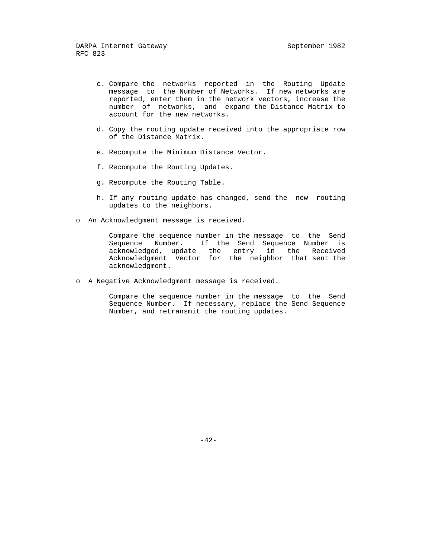- c. Compare the networks reported in the Routing Update message to the Number of Networks. If new networks are reported, enter them in the network vectors, increase the number of networks, and expand the Distance Matrix to account for the new networks.
- d. Copy the routing update received into the appropriate row of the Distance Matrix.
- e. Recompute the Minimum Distance Vector.
- f. Recompute the Routing Updates.
- g. Recompute the Routing Table.
- h. If any routing update has changed, send the new routing updates to the neighbors.
- o An Acknowledgment message is received.

 Compare the sequence number in the message to the Send Sequence Number. If the Send Sequence Number is acknowledged, update the entry in the Received Acknowledgment Vector for the neighbor that sent the acknowledgment.

o A Negative Acknowledgment message is received.

 Compare the sequence number in the message to the Send Sequence Number. If necessary, replace the Send Sequence Number, and retransmit the routing updates.